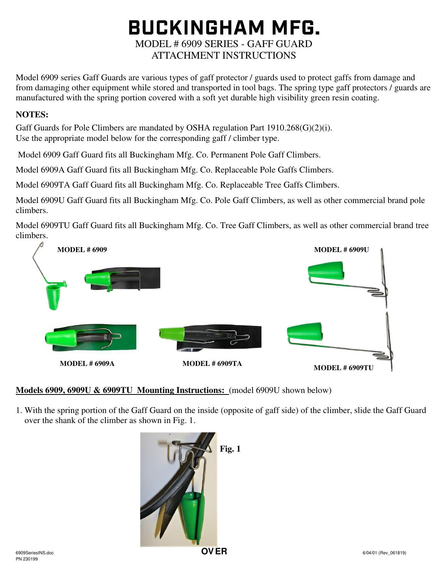# **BUCKINGHAM MFG.** MODEL # 6909 SERIES - GAFF GUARD ATTACHMENT INSTRUCTIONS

Model 6909 series Gaff Guards are various types of gaff protector / guards used to protect gaffs from damage and from damaging other equipment while stored and transported in tool bags. The spring type gaff protectors / guards are manufactured with the spring portion covered with a soft yet durable high visibility green resin coating.

### **NOTES:**

Gaff Guards for Pole Climbers are mandated by OSHA regulation Part 1910.268(G)(2)(i). Use the appropriate model below for the corresponding gaff / climber type.

Model 6909 Gaff Guard fits all Buckingham Mfg. Co. Permanent Pole Gaff Climbers.

Model 6909A Gaff Guard fits all Buckingham Mfg. Co. Replaceable Pole Gaffs Climbers.

Model 6909TA Gaff Guard fits all Buckingham Mfg. Co. Replaceable Tree Gaffs Climbers.

Model 6909U Gaff Guard fits all Buckingham Mfg. Co. Pole Gaff Climbers, as well as other commercial brand pole climbers.

Model 6909TU Gaff Guard fits all Buckingham Mfg. Co. Tree Gaff Climbers, as well as other commercial brand tree climbers.



## **Models 6909, 6909U & 6909TU Mounting Instructions:** (model 6909U shown below)

1. With the spring portion of the Gaff Guard on the inside (opposite of gaff side) of the climber, slide the Gaff Guard over the shank of the climber as shown in Fig. 1.